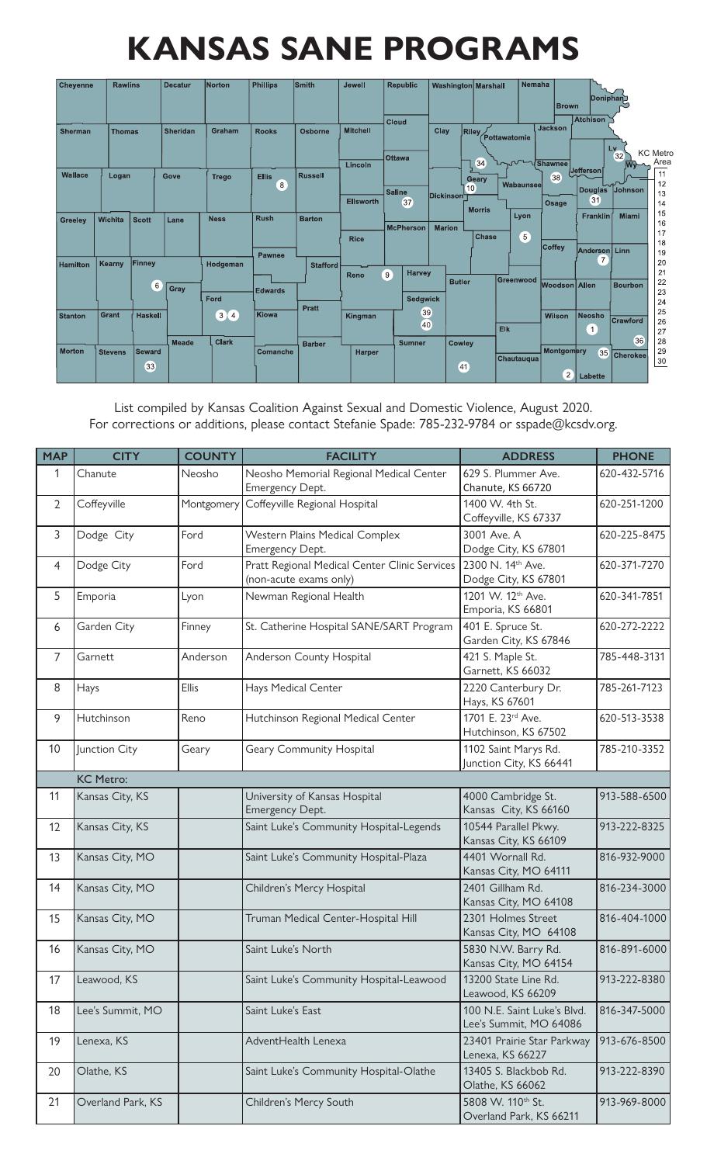## **KANSAS SANE PROGRAMS**

| <b>Cheyenne</b> | <b>Rawlins</b> |                     | <b>Decatur</b>  | <b>Norton</b>                                    | <b>Phillips</b>         | <b>Smith</b>    | Jewell                          | <b>Republic</b>                 |               | <b>Washington Marshall</b>    | Nemaha              | <b>Brown</b>                 | Doniphan                          |                                               |
|-----------------|----------------|---------------------|-----------------|--------------------------------------------------|-------------------------|-----------------|---------------------------------|---------------------------------|---------------|-------------------------------|---------------------|------------------------------|-----------------------------------|-----------------------------------------------|
| <b>Sherman</b>  | <b>Thomas</b>  |                     | <b>Sheridan</b> | Graham                                           | <b>Rooks</b>            | Osborne         | <b>Mitchell</b>                 | <b>Cloud</b><br><b>Ottawa</b>   | Clay          | <b>Riley</b>                  | Pottawatomie        | <b>Jackson</b>               | <b>Atchison</b>                   | Lv.<br><b>KC</b> Metro<br>32                  |
| Wallace         | Logan          |                     | Gove            | <b>Trego</b>                                     | <b>Ellis</b><br>8       | <b>Russell</b>  | Lincoln                         | <b>Saline</b>                   | Dickinson     | 34<br>Geary<br>(10)           | Wabaunsee           | <b>JULA Shawnee</b><br>38    | Jefferson<br><b>Douglas</b>       | Area<br><b>M</b><br>11<br>12<br>Johnson<br>13 |
| Greeley         | Wichita        | <b>Scott</b>        | Lane            | <b>Ness</b>                                      | <b>Rush</b>             | <b>Barton</b>   | <b>Ellsworth</b><br><b>Rice</b> | 37<br><b>McPherson</b>          | <b>Marion</b> | <b>Morris</b><br><b>Chase</b> | Lyon<br>$5^{\circ}$ | Osage                        | 31<br>Franklin                    | 14<br>15<br>Miami<br>16<br>17                 |
| <b>Hamilton</b> | Kearny         | Finney              |                 | Hodgeman                                         | Pawnee                  | <b>Stafford</b> | Reno                            | <b>Harvey</b><br>$\overline{9}$ |               |                               | Greenwood           | Coffey                       | Anderson   Linn<br>$\overline{7}$ | 18<br>19<br>20<br>21                          |
|                 | Grant          | $6^{\circ}$         | Gray            | Ford                                             | <b>Edwards</b><br>Kiowa | <b>Pratt</b>    |                                 | <b>Sedgwick</b><br>39           |               | <b>Butler</b>                 |                     | Woodson Allen                |                                   | 22<br><b>Bourbon</b><br>23<br>24<br>25        |
| <b>Stanton</b>  |                | <b>Haskell</b>      | <b>Meade</b>    | $\sqrt{3}$<br>$\left( 4 \right)$<br><b>Clark</b> |                         | <b>Barber</b>   | Kingman                         | 40<br><b>Sumner</b>             |               | <b>Cowley</b>                 | <b>Elk</b>          | <b>Wilson</b>                | <b>Neosho</b><br>$\mathbf{1}$     | Crawford<br>26<br>27<br>36<br>28              |
| <b>Morton</b>   | <b>Stevens</b> | <b>Seward</b><br>33 |                 |                                                  | Comanche                |                 | <b>Harper</b>                   |                                 |               | 41                            | Chautauqua          | Montgomery<br>$\overline{2}$ | 35<br>Labette                     | 29<br><b>Cherokee</b><br>$\frac{30}{5}$       |

List compiled by Kansas Coalition Against Sexual and Domestic Violence, August 2020. For corrections or additions, please contact Stefanie Spade: 785-232-9784 or sspade@kcsdv.org.

| <b>MAP</b>     | <b>CITY</b>       | <b>COUNTY</b> | <b>FACILITY</b>                                                         | <b>ADDRESS</b>                                        | <b>PHONE</b> |
|----------------|-------------------|---------------|-------------------------------------------------------------------------|-------------------------------------------------------|--------------|
| 1              | Chanute           | Neosho        | Neosho Memorial Regional Medical Center<br>Emergency Dept.              | 629 S. Plummer Ave.<br>Chanute, KS 66720              | 620-432-5716 |
| $\overline{2}$ | Coffeyville       | Montgomery    | Coffeyville Regional Hospital                                           | 1400 W. 4th St.<br>Coffeyville, KS 67337              | 620-251-1200 |
| 3              | Dodge City        | Ford          | Western Plains Medical Complex<br>Emergency Dept.                       | 3001 Ave. A<br>Dodge City, KS 67801                   | 620-225-8475 |
| 4              | Dodge City        | Ford          | Pratt Regional Medical Center Clinic Services<br>(non-acute exams only) | 2300 N. 14th Ave.<br>Dodge City, KS 67801             | 620-371-7270 |
| 5              | Emporia           | Lyon          | Newman Regional Health                                                  | 1201 W. 12th Ave.<br>Emporia, KS 66801                | 620-341-7851 |
| 6              | Garden City       | Finney        | St. Catherine Hospital SANE/SART Program                                | 401 E. Spruce St.<br>Garden City, KS 67846            | 620-272-2222 |
| $\overline{7}$ | Garnett           | Anderson      | Anderson County Hospital                                                | 421 S. Maple St.<br>Garnett, KS 66032                 | 785-448-3131 |
| 8              | Hays              | Ellis         | Hays Medical Center                                                     | 2220 Canterbury Dr.<br>Hays, KS 67601                 | 785-261-7123 |
| 9              | Hutchinson        | Reno          | Hutchinson Regional Medical Center                                      | 1701 E. 23rd Ave.<br>Hutchinson, KS 67502             | 620-513-3538 |
| 10             | Junction City     | Geary         | Geary Community Hospital                                                | 1102 Saint Marys Rd.<br>Junction City, KS 66441       | 785-210-3352 |
|                | <b>KC Metro:</b>  |               |                                                                         |                                                       |              |
| 11             | Kansas City, KS   |               | University of Kansas Hospital<br>Emergency Dept.                        | 4000 Cambridge St.<br>Kansas City, KS 66160           | 913-588-6500 |
| 12             | Kansas City, KS   |               | Saint Luke's Community Hospital-Legends                                 | 10544 Parallel Pkwy.<br>Kansas City, KS 66109         | 913-222-8325 |
| 13             | Kansas City, MO   |               | Saint Luke's Community Hospital-Plaza                                   | 4401 Wornall Rd.<br>Kansas City, MO 64111             | 816-932-9000 |
| 14             | Kansas City, MO   |               | Children's Mercy Hospital                                               | 2401 Gillham Rd.<br>Kansas City, MO 64108             | 816-234-3000 |
| 15             | Kansas City, MO   |               | Truman Medical Center-Hospital Hill                                     | 2301 Holmes Street<br>Kansas City, MO 64108           | 816-404-1000 |
| 16             | Kansas City, MO   |               | Saint Luke's North                                                      | 5830 N.W. Barry Rd.<br>Kansas City, MO 64154          | 816-891-6000 |
| 17             | Leawood, KS       |               | Saint Luke's Community Hospital-Leawood                                 | 13200 State Line Rd.<br>Leawood, KS 66209             | 913-222-8380 |
| 18             | Lee's Summit, MO  |               | Saint Luke's East                                                       | 100 N.E. Saint Luke's Blvd.<br>Lee's Summit, MO 64086 | 816-347-5000 |
| 19             | Lenexa, KS        |               | AdventHealth Lenexa                                                     | 23401 Prairie Star Parkway<br>Lenexa, KS 66227        | 913-676-8500 |
| 20             | Olathe, KS        |               | Saint Luke's Community Hospital-Olathe                                  | 13405 S. Blackbob Rd.<br>Olathe, KS 66062             | 913-222-8390 |
| 21             | Overland Park, KS |               | Children's Mercy South                                                  | 5808 W. 110th St.<br>Overland Park, KS 66211          | 913-969-8000 |